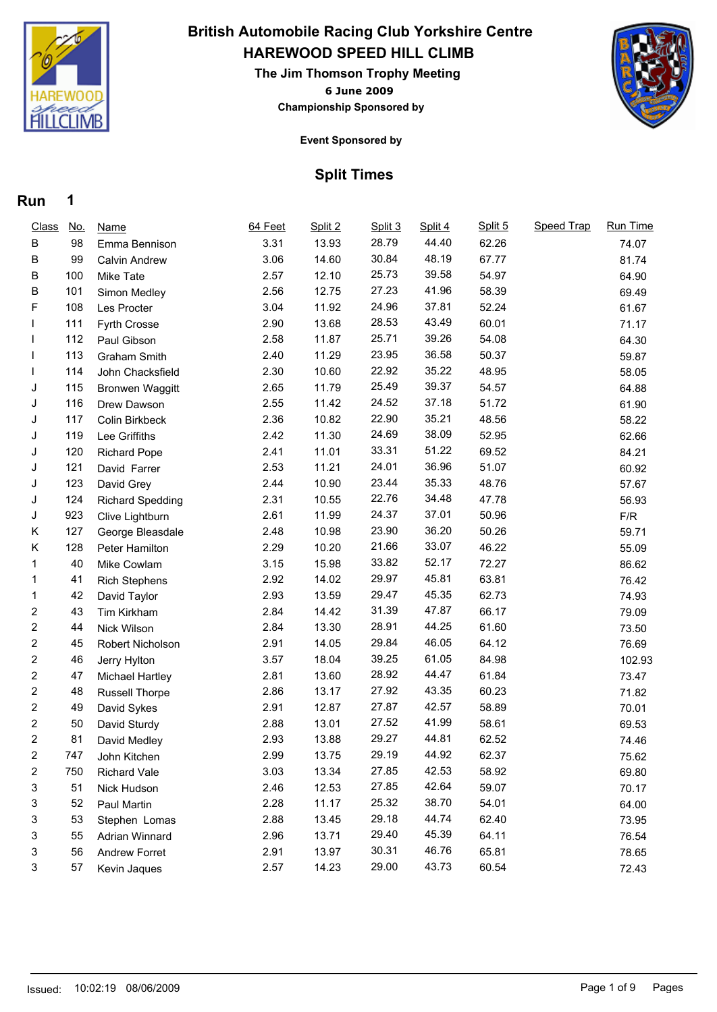

# **HAREWOOD SPEED HILL CLIMB British Automobile Racing Club Yorkshire Centre**

**6 June 2009 The Jim Thomson Trophy Meeting Championship Sponsored by**



#### **Event Sponsored by**

### **Split Times**

| <b>Class</b>   | <u>No.</u> | <b>Name</b>             | 64 Feet | Split 2 | Split 3 | Split 4 | Split 5 | Speed Trap | Run Time |
|----------------|------------|-------------------------|---------|---------|---------|---------|---------|------------|----------|
| B              | 98         | Emma Bennison           | 3.31    | 13.93   | 28.79   | 44.40   | 62.26   |            | 74.07    |
| В              | 99         | Calvin Andrew           | 3.06    | 14.60   | 30.84   | 48.19   | 67.77   |            | 81.74    |
| В              | 100        | Mike Tate               | 2.57    | 12.10   | 25.73   | 39.58   | 54.97   |            | 64.90    |
| В              | 101        | Simon Medley            | 2.56    | 12.75   | 27.23   | 41.96   | 58.39   |            | 69.49    |
| F              | 108        | Les Procter             | 3.04    | 11.92   | 24.96   | 37.81   | 52.24   |            | 61.67    |
|                | 111        | Fyrth Crosse            | 2.90    | 13.68   | 28.53   | 43.49   | 60.01   |            | 71.17    |
|                | 112        | Paul Gibson             | 2.58    | 11.87   | 25.71   | 39.26   | 54.08   |            | 64.30    |
|                | 113        | Graham Smith            | 2.40    | 11.29   | 23.95   | 36.58   | 50.37   |            | 59.87    |
|                | 114        | John Chacksfield        | 2.30    | 10.60   | 22.92   | 35.22   | 48.95   |            | 58.05    |
| J              | 115        | <b>Bronwen Waggitt</b>  | 2.65    | 11.79   | 25.49   | 39.37   | 54.57   |            | 64.88    |
| J              | 116        | Drew Dawson             | 2.55    | 11.42   | 24.52   | 37.18   | 51.72   |            | 61.90    |
| J              | 117        | Colin Birkbeck          | 2.36    | 10.82   | 22.90   | 35.21   | 48.56   |            | 58.22    |
| J              | 119        | Lee Griffiths           | 2.42    | 11.30   | 24.69   | 38.09   | 52.95   |            | 62.66    |
| J              | 120        | <b>Richard Pope</b>     | 2.41    | 11.01   | 33.31   | 51.22   | 69.52   |            | 84.21    |
| J              | 121        | David Farrer            | 2.53    | 11.21   | 24.01   | 36.96   | 51.07   |            | 60.92    |
| J              | 123        | David Grey              | 2.44    | 10.90   | 23.44   | 35.33   | 48.76   |            | 57.67    |
| J              | 124        | <b>Richard Spedding</b> | 2.31    | 10.55   | 22.76   | 34.48   | 47.78   |            | 56.93    |
| J              | 923        | Clive Lightburn         | 2.61    | 11.99   | 24.37   | 37.01   | 50.96   |            | F/R      |
| K              | 127        | George Bleasdale        | 2.48    | 10.98   | 23.90   | 36.20   | 50.26   |            | 59.71    |
| Κ              | 128        | Peter Hamilton          | 2.29    | 10.20   | 21.66   | 33.07   | 46.22   |            | 55.09    |
| 1              | 40         | Mike Cowlam             | 3.15    | 15.98   | 33.82   | 52.17   | 72.27   |            | 86.62    |
| 1              | 41         | <b>Rich Stephens</b>    | 2.92    | 14.02   | 29.97   | 45.81   | 63.81   |            | 76.42    |
| 1              | 42         | David Taylor            | 2.93    | 13.59   | 29.47   | 45.35   | 62.73   |            | 74.93    |
| 2              | 43         | Tim Kirkham             | 2.84    | 14.42   | 31.39   | 47.87   | 66.17   |            | 79.09    |
| 2              | 44         | Nick Wilson             | 2.84    | 13.30   | 28.91   | 44.25   | 61.60   |            | 73.50    |
| 2              | 45         | Robert Nicholson        | 2.91    | 14.05   | 29.84   | 46.05   | 64.12   |            | 76.69    |
| 2              | 46         | Jerry Hylton            | 3.57    | 18.04   | 39.25   | 61.05   | 84.98   |            | 102.93   |
| 2              | 47         | Michael Hartley         | 2.81    | 13.60   | 28.92   | 44.47   | 61.84   |            | 73.47    |
| 2              | 48         | Russell Thorpe          | 2.86    | 13.17   | 27.92   | 43.35   | 60.23   |            | 71.82    |
| 2              | 49         | David Sykes             | 2.91    | 12.87   | 27.87   | 42.57   | 58.89   |            | 70.01    |
| 2              | 50         | David Sturdy            | 2.88    | 13.01   | 27.52   | 41.99   | 58.61   |            | 69.53    |
| 2              | 81         | David Medley            | 2.93    | 13.88   | 29.27   | 44.81   | 62.52   |            | 74.46    |
| $\overline{2}$ | 747        | John Kitchen            | 2.99    | 13.75   | 29.19   | 44.92   | 62.37   |            | 75.62    |
| 2              | 750        | <b>Richard Vale</b>     | 3.03    | 13.34   | 27.85   | 42.53   | 58.92   |            | 69.80    |
| 3              | 51         | Nick Hudson             | 2.46    | 12.53   | 27.85   | 42.64   | 59.07   |            | 70.17    |
| 3              | 52         | Paul Martin             | 2.28    | 11.17   | 25.32   | 38.70   | 54.01   |            | 64.00    |
| 3              | 53         | Stephen Lomas           | 2.88    | 13.45   | 29.18   | 44.74   | 62.40   |            | 73.95    |
| 3              | 55         | Adrian Winnard          | 2.96    | 13.71   | 29.40   | 45.39   | 64.11   |            | 76.54    |
| 3              | 56         | Andrew Forret           | 2.91    | 13.97   | 30.31   | 46.76   | 65.81   |            | 78.65    |
| 3              | 57         | Kevin Jaques            | 2.57    | 14.23   | 29.00   | 43.73   | 60.54   |            | 72.43    |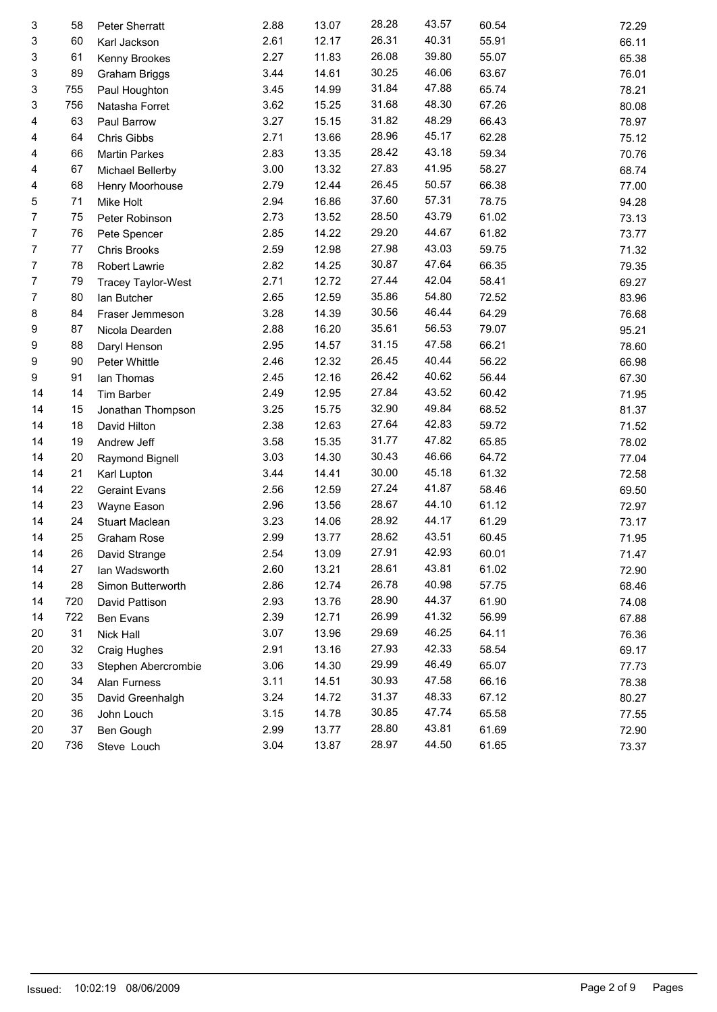| 3  | 58  | Peter Sherratt       | 2.88 | 13.07 | 28.28 | 43.57 | 60.54 | 72.29 |
|----|-----|----------------------|------|-------|-------|-------|-------|-------|
| 3  | 60  | Karl Jackson         | 2.61 | 12.17 | 26.31 | 40.31 | 55.91 | 66.11 |
| 3  | 61  | Kenny Brookes        | 2.27 | 11.83 | 26.08 | 39.80 | 55.07 | 65.38 |
| 3  | 89  | Graham Briggs        | 3.44 | 14.61 | 30.25 | 46.06 | 63.67 | 76.01 |
| 3  | 755 | Paul Houghton        | 3.45 | 14.99 | 31.84 | 47.88 | 65.74 | 78.21 |
| 3  | 756 | Natasha Forret       | 3.62 | 15.25 | 31.68 | 48.30 | 67.26 | 80.08 |
| 4  | 63  | Paul Barrow          | 3.27 | 15.15 | 31.82 | 48.29 | 66.43 | 78.97 |
| 4  | 64  | Chris Gibbs          | 2.71 | 13.66 | 28.96 | 45.17 | 62.28 | 75.12 |
| 4  | 66  | <b>Martin Parkes</b> | 2.83 | 13.35 | 28.42 | 43.18 | 59.34 | 70.76 |
| 4  | 67  | Michael Bellerby     | 3.00 | 13.32 | 27.83 | 41.95 | 58.27 | 68.74 |
| 4  | 68  | Henry Moorhouse      | 2.79 | 12.44 | 26.45 | 50.57 | 66.38 | 77.00 |
| 5  | 71  | Mike Holt            | 2.94 | 16.86 | 37.60 | 57.31 | 78.75 | 94.28 |
| 7  | 75  | Peter Robinson       | 2.73 | 13.52 | 28.50 | 43.79 | 61.02 | 73.13 |
| 7  | 76  | Pete Spencer         | 2.85 | 14.22 | 29.20 | 44.67 | 61.82 | 73.77 |
| 7  | 77  | Chris Brooks         | 2.59 | 12.98 | 27.98 | 43.03 | 59.75 | 71.32 |
| 7  | 78  | Robert Lawrie        | 2.82 | 14.25 | 30.87 | 47.64 | 66.35 | 79.35 |
| 7  | 79  | Tracey Taylor-West   | 2.71 | 12.72 | 27.44 | 42.04 | 58.41 | 69.27 |
| 7  | 80  | lan Butcher          | 2.65 | 12.59 | 35.86 | 54.80 | 72.52 | 83.96 |
| 8  | 84  | Fraser Jemmeson      | 3.28 | 14.39 | 30.56 | 46.44 | 64.29 | 76.68 |
| 9  | 87  | Nicola Dearden       | 2.88 | 16.20 | 35.61 | 56.53 | 79.07 | 95.21 |
| 9  | 88  | Daryl Henson         | 2.95 | 14.57 | 31.15 | 47.58 | 66.21 | 78.60 |
| 9  | 90  | Peter Whittle        | 2.46 | 12.32 | 26.45 | 40.44 | 56.22 | 66.98 |
| 9  | 91  | lan Thomas           | 2.45 | 12.16 | 26.42 | 40.62 | 56.44 | 67.30 |
| 14 | 14  | Tim Barber           | 2.49 | 12.95 | 27.84 | 43.52 | 60.42 | 71.95 |
| 14 | 15  | Jonathan Thompson    | 3.25 | 15.75 | 32.90 | 49.84 | 68.52 | 81.37 |
| 14 | 18  | David Hilton         | 2.38 | 12.63 | 27.64 | 42.83 | 59.72 | 71.52 |
| 14 | 19  | Andrew Jeff          | 3.58 | 15.35 | 31.77 | 47.82 | 65.85 | 78.02 |
| 14 | 20  | Raymond Bignell      | 3.03 | 14.30 | 30.43 | 46.66 | 64.72 | 77.04 |
| 14 | 21  | Karl Lupton          | 3.44 | 14.41 | 30.00 | 45.18 | 61.32 | 72.58 |
| 14 | 22  | <b>Geraint Evans</b> | 2.56 | 12.59 | 27.24 | 41.87 | 58.46 | 69.50 |
| 14 | 23  | Wayne Eason          | 2.96 | 13.56 | 28.67 | 44.10 | 61.12 | 72.97 |
| 14 | 24  | Stuart Maclean       | 3.23 | 14.06 | 28.92 | 44.17 | 61.29 | 73.17 |
| 14 | 25  | <b>Graham Rose</b>   | 2.99 | 13.77 | 28.62 | 43.51 | 60.45 | 71.95 |
| 14 | 26  | David Strange        | 2.54 | 13.09 | 27.91 | 42.93 | 60.01 | 71.47 |
| 14 | 27  | Ian Wadsworth        | 2.60 | 13.21 | 28.61 | 43.81 | 61.02 | 72.90 |
| 14 | 28  | Simon Butterworth    | 2.86 | 12.74 | 26.78 | 40.98 | 57.75 | 68.46 |
| 14 | 720 | David Pattison       | 2.93 | 13.76 | 28.90 | 44.37 | 61.90 | 74.08 |
| 14 | 722 | Ben Evans            | 2.39 | 12.71 | 26.99 | 41.32 | 56.99 | 67.88 |
| 20 | 31  | Nick Hall            | 3.07 | 13.96 | 29.69 | 46.25 | 64.11 | 76.36 |
| 20 | 32  | Craig Hughes         | 2.91 | 13.16 | 27.93 | 42.33 | 58.54 | 69.17 |
| 20 | 33  | Stephen Abercrombie  | 3.06 | 14.30 | 29.99 | 46.49 | 65.07 | 77.73 |
| 20 | 34  | Alan Furness         | 3.11 | 14.51 | 30.93 | 47.58 | 66.16 | 78.38 |
| 20 | 35  | David Greenhalgh     | 3.24 | 14.72 | 31.37 | 48.33 | 67.12 | 80.27 |
| 20 | 36  | John Louch           | 3.15 | 14.78 | 30.85 | 47.74 | 65.58 | 77.55 |
| 20 | 37  | Ben Gough            | 2.99 | 13.77 | 28.80 | 43.81 | 61.69 | 72.90 |
| 20 | 736 | Steve Louch          | 3.04 | 13.87 | 28.97 | 44.50 | 61.65 | 73.37 |
|    |     |                      |      |       |       |       |       |       |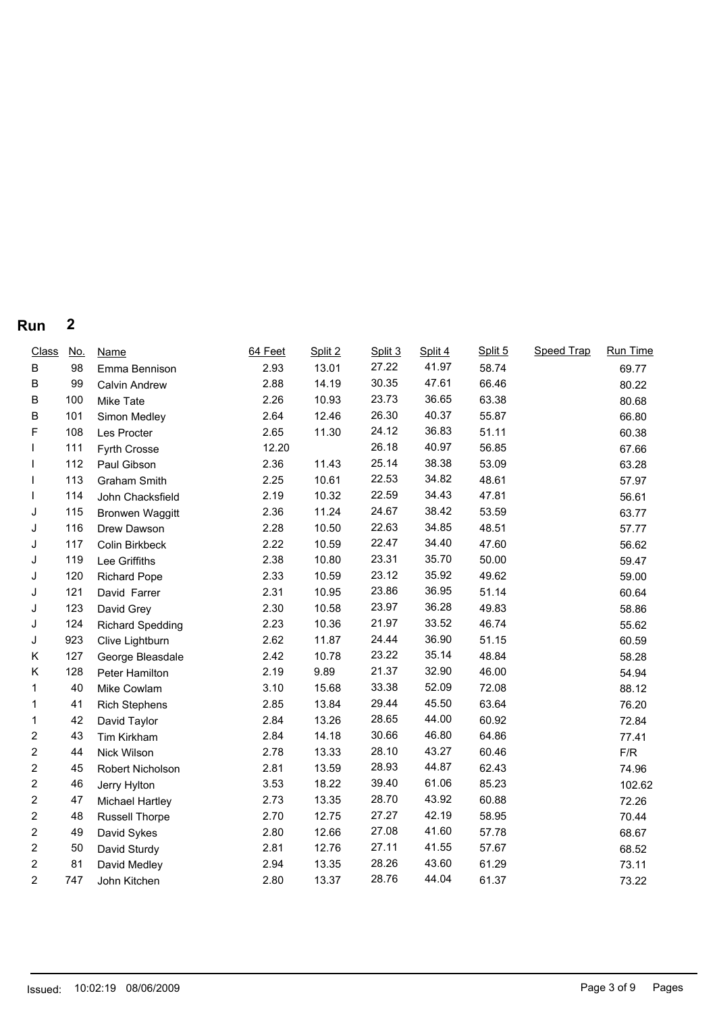| <b>Class</b>   | <u>No.</u> | <b>Name</b>             | 64 Feet | Split 2 | Split 3 | Split 4 | Split 5 | Speed Trap | Run Time |
|----------------|------------|-------------------------|---------|---------|---------|---------|---------|------------|----------|
| В              | 98         | Emma Bennison           | 2.93    | 13.01   | 27.22   | 41.97   | 58.74   |            | 69.77    |
| В              | 99         | <b>Calvin Andrew</b>    | 2.88    | 14.19   | 30.35   | 47.61   | 66.46   |            | 80.22    |
| B              | 100        | Mike Tate               | 2.26    | 10.93   | 23.73   | 36.65   | 63.38   |            | 80.68    |
| B              | 101        | Simon Medley            | 2.64    | 12.46   | 26.30   | 40.37   | 55.87   |            | 66.80    |
| F              | 108        | Les Procter             | 2.65    | 11.30   | 24.12   | 36.83   | 51.11   |            | 60.38    |
|                | 111        | Fyrth Crosse            | 12.20   |         | 26.18   | 40.97   | 56.85   |            | 67.66    |
|                | 112        | Paul Gibson             | 2.36    | 11.43   | 25.14   | 38.38   | 53.09   |            | 63.28    |
|                | 113        | Graham Smith            | 2.25    | 10.61   | 22.53   | 34.82   | 48.61   |            | 57.97    |
|                | 114        | John Chacksfield        | 2.19    | 10.32   | 22.59   | 34.43   | 47.81   |            | 56.61    |
| J              | 115        | <b>Bronwen Waggitt</b>  | 2.36    | 11.24   | 24.67   | 38.42   | 53.59   |            | 63.77    |
| J              | 116        | Drew Dawson             | 2.28    | 10.50   | 22.63   | 34.85   | 48.51   |            | 57.77    |
| J              | 117        | Colin Birkbeck          | 2.22    | 10.59   | 22.47   | 34.40   | 47.60   |            | 56.62    |
| J              | 119        | Lee Griffiths           | 2.38    | 10.80   | 23.31   | 35.70   | 50.00   |            | 59.47    |
| J              | 120        | <b>Richard Pope</b>     | 2.33    | 10.59   | 23.12   | 35.92   | 49.62   |            | 59.00    |
| J              | 121        | David Farrer            | 2.31    | 10.95   | 23.86   | 36.95   | 51.14   |            | 60.64    |
| J              | 123        | David Grey              | 2.30    | 10.58   | 23.97   | 36.28   | 49.83   |            | 58.86    |
| J              | 124        | <b>Richard Spedding</b> | 2.23    | 10.36   | 21.97   | 33.52   | 46.74   |            | 55.62    |
| J              | 923        | Clive Lightburn         | 2.62    | 11.87   | 24.44   | 36.90   | 51.15   |            | 60.59    |
| K              | 127        | George Bleasdale        | 2.42    | 10.78   | 23.22   | 35.14   | 48.84   |            | 58.28    |
| Κ              | 128        | Peter Hamilton          | 2.19    | 9.89    | 21.37   | 32.90   | 46.00   |            | 54.94    |
| 1              | 40         | Mike Cowlam             | 3.10    | 15.68   | 33.38   | 52.09   | 72.08   |            | 88.12    |
| 1              | 41         | <b>Rich Stephens</b>    | 2.85    | 13.84   | 29.44   | 45.50   | 63.64   |            | 76.20    |
| 1              | 42         | David Taylor            | 2.84    | 13.26   | 28.65   | 44.00   | 60.92   |            | 72.84    |
| $\overline{c}$ | 43         | Tim Kirkham             | 2.84    | 14.18   | 30.66   | 46.80   | 64.86   |            | 77.41    |
| $\overline{2}$ | 44         | Nick Wilson             | 2.78    | 13.33   | 28.10   | 43.27   | 60.46   |            | F/R      |
| $\overline{2}$ | 45         | Robert Nicholson        | 2.81    | 13.59   | 28.93   | 44.87   | 62.43   |            | 74.96    |
| $\overline{2}$ | 46         | Jerry Hylton            | 3.53    | 18.22   | 39.40   | 61.06   | 85.23   |            | 102.62   |
| $\overline{c}$ | 47         | Michael Hartley         | 2.73    | 13.35   | 28.70   | 43.92   | 60.88   |            | 72.26    |
| 2              | 48         | <b>Russell Thorpe</b>   | 2.70    | 12.75   | 27.27   | 42.19   | 58.95   |            | 70.44    |
| $\overline{2}$ | 49         | David Sykes             | 2.80    | 12.66   | 27.08   | 41.60   | 57.78   |            | 68.67    |
| $\overline{2}$ | 50         | David Sturdy            | 2.81    | 12.76   | 27.11   | 41.55   | 57.67   |            | 68.52    |
| $\overline{2}$ | 81         | David Medley            | 2.94    | 13.35   | 28.26   | 43.60   | 61.29   |            | 73.11    |
| $\overline{2}$ | 747        | John Kitchen            | 2.80    | 13.37   | 28.76   | 44.04   | 61.37   |            | 73.22    |
|                |            |                         |         |         |         |         |         |            |          |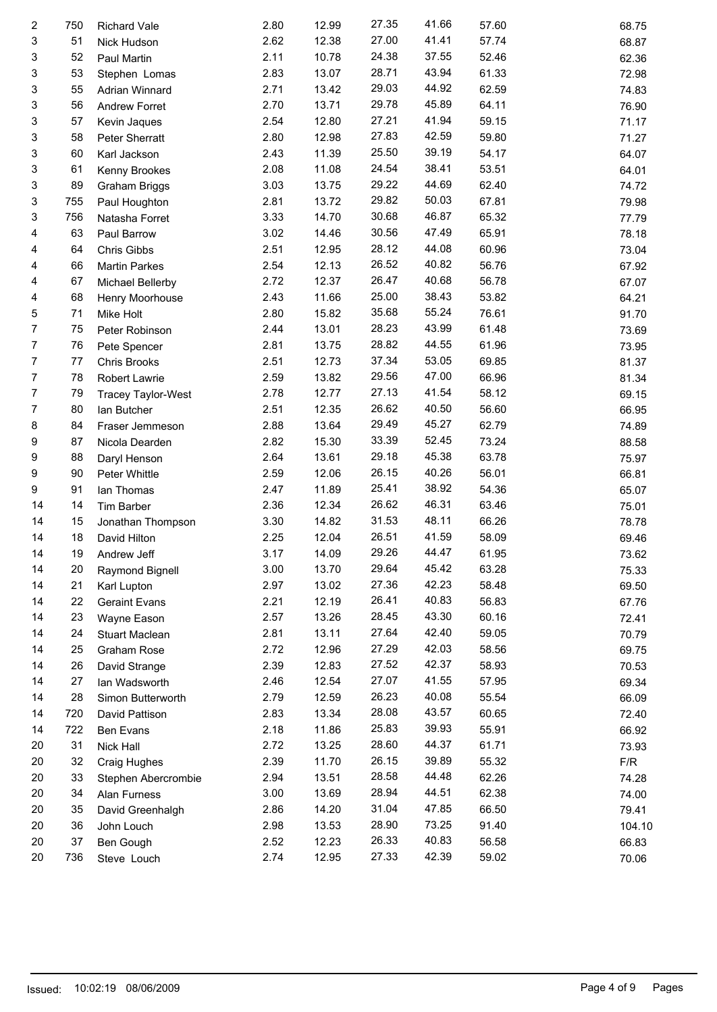| $\overline{\mathbf{c}}$ | 750 | Richard Vale         | 2.80 | 12.99 | 27.35 | 41.66 | 57.60          | 68.75  |
|-------------------------|-----|----------------------|------|-------|-------|-------|----------------|--------|
| 3                       | 51  | Nick Hudson          | 2.62 | 12.38 | 27.00 | 41.41 | 57.74          | 68.87  |
| 3                       | 52  | Paul Martin          | 2.11 | 10.78 | 24.38 | 37.55 | 52.46          | 62.36  |
| 3                       | 53  | Stephen Lomas        | 2.83 | 13.07 | 28.71 | 43.94 | 61.33          | 72.98  |
| 3                       | 55  | Adrian Winnard       | 2.71 | 13.42 | 29.03 | 44.92 | 62.59          | 74.83  |
| 3                       | 56  | Andrew Forret        | 2.70 | 13.71 | 29.78 | 45.89 | 64.11          | 76.90  |
| 3                       | 57  | Kevin Jaques         | 2.54 | 12.80 | 27.21 | 41.94 | 59.15          | 71.17  |
| 3                       | 58  | Peter Sherratt       | 2.80 | 12.98 | 27.83 | 42.59 | 59.80          | 71.27  |
| 3                       | 60  | Karl Jackson         | 2.43 | 11.39 | 25.50 | 39.19 | 54.17          | 64.07  |
| 3                       | 61  | Kenny Brookes        | 2.08 | 11.08 | 24.54 | 38.41 | 53.51          | 64.01  |
| 3                       | 89  | Graham Briggs        | 3.03 | 13.75 | 29.22 | 44.69 | 62.40          | 74.72  |
| 3                       | 755 | Paul Houghton        | 2.81 | 13.72 | 29.82 | 50.03 | 67.81          | 79.98  |
| 3                       | 756 | Natasha Forret       | 3.33 | 14.70 | 30.68 | 46.87 | 65.32          | 77.79  |
| 4                       | 63  | Paul Barrow          | 3.02 | 14.46 | 30.56 | 47.49 | 65.91          | 78.18  |
| 4                       | 64  | Chris Gibbs          | 2.51 | 12.95 | 28.12 | 44.08 | 60.96          | 73.04  |
| 4                       | 66  | <b>Martin Parkes</b> | 2.54 | 12.13 | 26.52 | 40.82 | 56.76          | 67.92  |
| 4                       | 67  |                      | 2.72 | 12.37 | 26.47 | 40.68 | 56.78          |        |
|                         |     | Michael Bellerby     |      |       | 25.00 | 38.43 |                | 67.07  |
| 4                       | 68  | Henry Moorhouse      | 2.43 | 11.66 | 35.68 | 55.24 | 53.82<br>76.61 | 64.21  |
| 5                       | 71  | Mike Holt            | 2.80 | 15.82 | 28.23 | 43.99 |                | 91.70  |
| 7                       | 75  | Peter Robinson       | 2.44 | 13.01 | 28.82 | 44.55 | 61.48          | 73.69  |
| 7                       | 76  | Pete Spencer         | 2.81 | 13.75 |       |       | 61.96          | 73.95  |
| 7                       | 77  | Chris Brooks         | 2.51 | 12.73 | 37.34 | 53.05 | 69.85          | 81.37  |
| 7                       | 78  | Robert Lawrie        | 2.59 | 13.82 | 29.56 | 47.00 | 66.96          | 81.34  |
| 7                       | 79  | Tracey Taylor-West   | 2.78 | 12.77 | 27.13 | 41.54 | 58.12          | 69.15  |
| 7                       | 80  | lan Butcher          | 2.51 | 12.35 | 26.62 | 40.50 | 56.60          | 66.95  |
| 8                       | 84  | Fraser Jemmeson      | 2.88 | 13.64 | 29.49 | 45.27 | 62.79          | 74.89  |
| 9                       | 87  | Nicola Dearden       | 2.82 | 15.30 | 33.39 | 52.45 | 73.24          | 88.58  |
| 9                       | 88  | Daryl Henson         | 2.64 | 13.61 | 29.18 | 45.38 | 63.78          | 75.97  |
| 9                       | 90  | Peter Whittle        | 2.59 | 12.06 | 26.15 | 40.26 | 56.01          | 66.81  |
| 9                       | 91  | lan Thomas           | 2.47 | 11.89 | 25.41 | 38.92 | 54.36          | 65.07  |
| 14                      | 14  | Tim Barber           | 2.36 | 12.34 | 26.62 | 46.31 | 63.46          | 75.01  |
| 14                      | 15  | Jonathan Thompson    | 3.30 | 14.82 | 31.53 | 48.11 | 66.26          | 78.78  |
| 14                      | 18  | David Hilton         | 2.25 | 12.04 | 26.51 | 41.59 | 58.09          | 69.46  |
| 14                      | 19  | Andrew Jeff          | 3.17 | 14.09 | 29.26 | 44.47 | 61.95          | 73.62  |
| 14                      | 20  | Raymond Bignell      | 3.00 | 13.70 | 29.64 | 45.42 | 63.28          | 75.33  |
| 14                      | 21  | Karl Lupton          | 2.97 | 13.02 | 27.36 | 42.23 | 58.48          | 69.50  |
| 14                      | 22  | <b>Geraint Evans</b> | 2.21 | 12.19 | 26.41 | 40.83 | 56.83          | 67.76  |
| 14                      | 23  | Wayne Eason          | 2.57 | 13.26 | 28.45 | 43.30 | 60.16          | 72.41  |
| 14                      | 24  | Stuart Maclean       | 2.81 | 13.11 | 27.64 | 42.40 | 59.05          | 70.79  |
| 14                      | 25  | Graham Rose          | 2.72 | 12.96 | 27.29 | 42.03 | 58.56          | 69.75  |
| 14                      | 26  | David Strange        | 2.39 | 12.83 | 27.52 | 42.37 | 58.93          | 70.53  |
| 14                      | 27  | Ian Wadsworth        | 2.46 | 12.54 | 27.07 | 41.55 | 57.95          | 69.34  |
| 14                      | 28  | Simon Butterworth    | 2.79 | 12.59 | 26.23 | 40.08 | 55.54          | 66.09  |
| 14                      | 720 | David Pattison       | 2.83 | 13.34 | 28.08 | 43.57 | 60.65          | 72.40  |
| 14                      | 722 | Ben Evans            | 2.18 | 11.86 | 25.83 | 39.93 | 55.91          | 66.92  |
| 20                      | 31  | Nick Hall            | 2.72 | 13.25 | 28.60 | 44.37 | 61.71          | 73.93  |
| 20                      | 32  | Craig Hughes         | 2.39 | 11.70 | 26.15 | 39.89 | 55.32          | F/R    |
| 20                      | 33  | Stephen Abercrombie  | 2.94 | 13.51 | 28.58 | 44.48 | 62.26          | 74.28  |
| 20                      | 34  | Alan Furness         | 3.00 | 13.69 | 28.94 | 44.51 | 62.38          | 74.00  |
| 20                      | 35  | David Greenhalgh     | 2.86 | 14.20 | 31.04 | 47.85 | 66.50          | 79.41  |
| 20                      | 36  | John Louch           | 2.98 | 13.53 | 28.90 | 73.25 | 91.40          | 104.10 |
| 20                      | 37  | Ben Gough            | 2.52 | 12.23 | 26.33 | 40.83 | 56.58          | 66.83  |
| 20                      | 736 | Steve Louch          | 2.74 | 12.95 | 27.33 | 42.39 | 59.02          | 70.06  |
|                         |     |                      |      |       |       |       |                |        |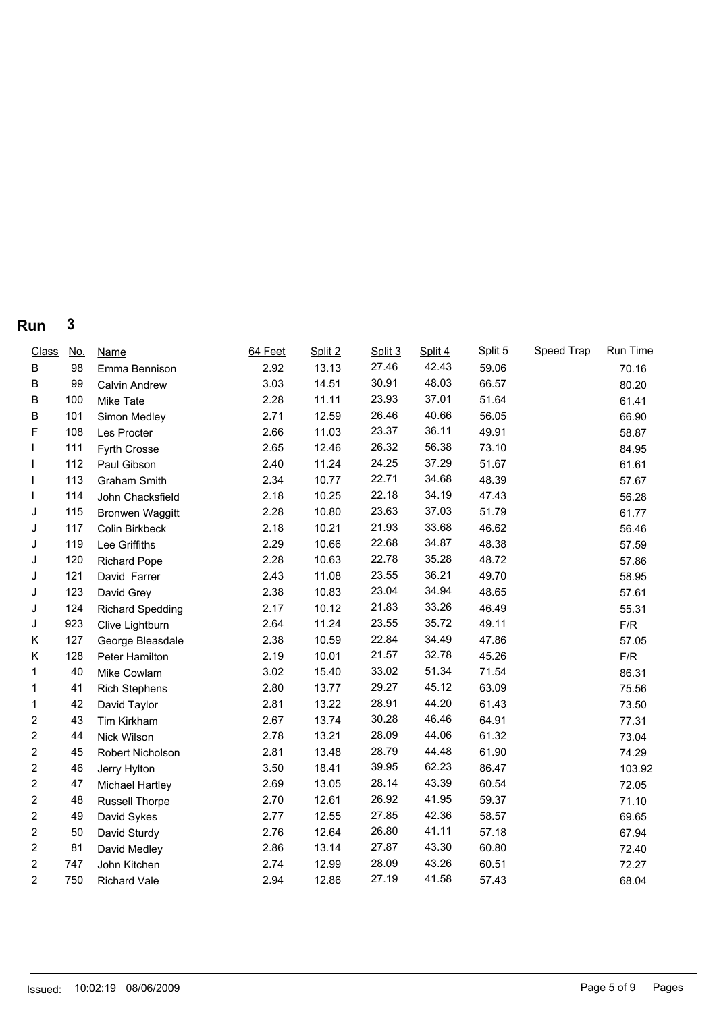| <b>Class</b>   | <u>No.</u> | <b>Name</b>             | 64 Feet | Split 2 | Split 3 | Split 4 | Split 5 | <b>Speed Trap</b> | Run Time |
|----------------|------------|-------------------------|---------|---------|---------|---------|---------|-------------------|----------|
| В              | 98         | Emma Bennison           | 2.92    | 13.13   | 27.46   | 42.43   | 59.06   |                   | 70.16    |
| B              | 99         | <b>Calvin Andrew</b>    | 3.03    | 14.51   | 30.91   | 48.03   | 66.57   |                   | 80.20    |
| B              | 100        | Mike Tate               | 2.28    | 11.11   | 23.93   | 37.01   | 51.64   |                   | 61.41    |
| B              | 101        | Simon Medley            | 2.71    | 12.59   | 26.46   | 40.66   | 56.05   |                   | 66.90    |
| F              | 108        | Les Procter             | 2.66    | 11.03   | 23.37   | 36.11   | 49.91   |                   | 58.87    |
|                | 111        | Fyrth Crosse            | 2.65    | 12.46   | 26.32   | 56.38   | 73.10   |                   | 84.95    |
|                | 112        | Paul Gibson             | 2.40    | 11.24   | 24.25   | 37.29   | 51.67   |                   | 61.61    |
|                | 113        | Graham Smith            | 2.34    | 10.77   | 22.71   | 34.68   | 48.39   |                   | 57.67    |
|                | 114        | John Chacksfield        | 2.18    | 10.25   | 22.18   | 34.19   | 47.43   |                   | 56.28    |
| J              | 115        | <b>Bronwen Waggitt</b>  | 2.28    | 10.80   | 23.63   | 37.03   | 51.79   |                   | 61.77    |
| J              | 117        | Colin Birkbeck          | 2.18    | 10.21   | 21.93   | 33.68   | 46.62   |                   | 56.46    |
| J              | 119        | Lee Griffiths           | 2.29    | 10.66   | 22.68   | 34.87   | 48.38   |                   | 57.59    |
| J              | 120        | <b>Richard Pope</b>     | 2.28    | 10.63   | 22.78   | 35.28   | 48.72   |                   | 57.86    |
| J              | 121        | David Farrer            | 2.43    | 11.08   | 23.55   | 36.21   | 49.70   |                   | 58.95    |
| J              | 123        | David Grey              | 2.38    | 10.83   | 23.04   | 34.94   | 48.65   |                   | 57.61    |
| J              | 124        | <b>Richard Spedding</b> | 2.17    | 10.12   | 21.83   | 33.26   | 46.49   |                   | 55.31    |
| J              | 923        | Clive Lightburn         | 2.64    | 11.24   | 23.55   | 35.72   | 49.11   |                   | F/R      |
| Κ              | 127        | George Bleasdale        | 2.38    | 10.59   | 22.84   | 34.49   | 47.86   |                   | 57.05    |
| Κ              | 128        | Peter Hamilton          | 2.19    | 10.01   | 21.57   | 32.78   | 45.26   |                   | F/R      |
| 1              | 40         | Mike Cowlam             | 3.02    | 15.40   | 33.02   | 51.34   | 71.54   |                   | 86.31    |
| 1              | 41         | <b>Rich Stephens</b>    | 2.80    | 13.77   | 29.27   | 45.12   | 63.09   |                   | 75.56    |
| 1              | 42         | David Taylor            | 2.81    | 13.22   | 28.91   | 44.20   | 61.43   |                   | 73.50    |
| $\overline{2}$ | 43         | Tim Kirkham             | 2.67    | 13.74   | 30.28   | 46.46   | 64.91   |                   | 77.31    |
| 2              | 44         | Nick Wilson             | 2.78    | 13.21   | 28.09   | 44.06   | 61.32   |                   | 73.04    |
| 2              | 45         | Robert Nicholson        | 2.81    | 13.48   | 28.79   | 44.48   | 61.90   |                   | 74.29    |
| $\overline{2}$ | 46         | Jerry Hylton            | 3.50    | 18.41   | 39.95   | 62.23   | 86.47   |                   | 103.92   |
| $\overline{2}$ | 47         | Michael Hartley         | 2.69    | 13.05   | 28.14   | 43.39   | 60.54   |                   | 72.05    |
| 2              | 48         | Russell Thorpe          | 2.70    | 12.61   | 26.92   | 41.95   | 59.37   |                   | 71.10    |
| $\overline{2}$ | 49         | David Sykes             | 2.77    | 12.55   | 27.85   | 42.36   | 58.57   |                   | 69.65    |
| 2              | 50         | David Sturdy            | 2.76    | 12.64   | 26.80   | 41.11   | 57.18   |                   | 67.94    |
| 2              | 81         | David Medley            | 2.86    | 13.14   | 27.87   | 43.30   | 60.80   |                   | 72.40    |
| 2              | 747        | John Kitchen            | 2.74    | 12.99   | 28.09   | 43.26   | 60.51   |                   | 72.27    |
| $\overline{2}$ | 750        | Richard Vale            | 2.94    | 12.86   | 27.19   | 41.58   | 57.43   |                   | 68.04    |
|                |            |                         |         |         |         |         |         |                   |          |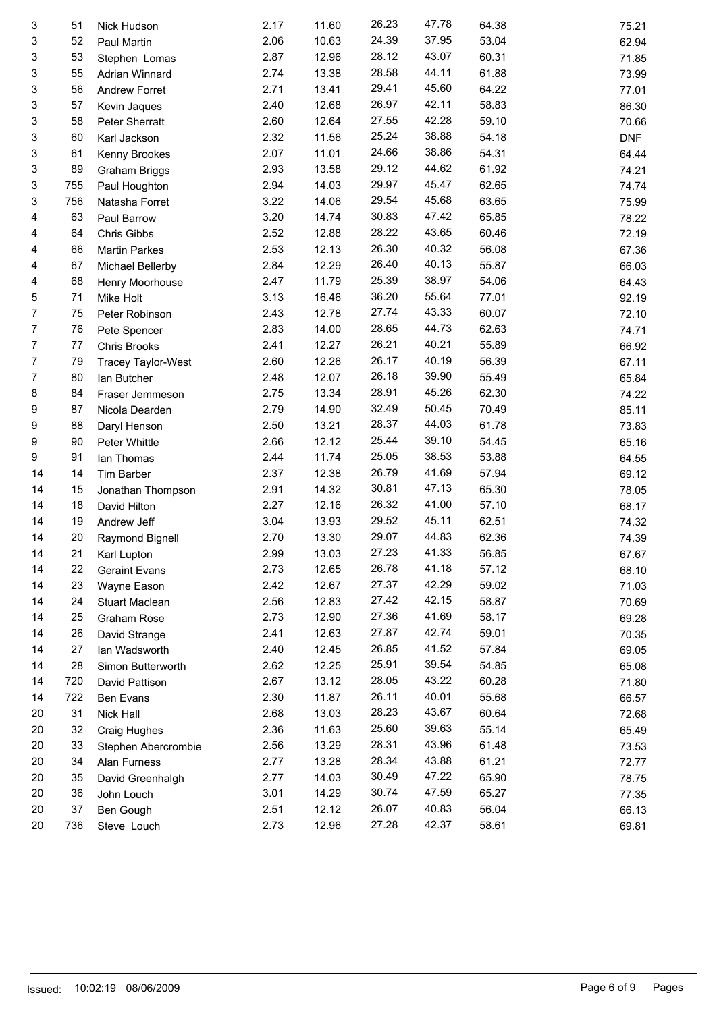| 3  | 51  | Nick Hudson          | 2.17 | 11.60 | 26.23 | 47.78 | 64.38 | 75.21      |
|----|-----|----------------------|------|-------|-------|-------|-------|------------|
| 3  | 52  | Paul Martin          | 2.06 | 10.63 | 24.39 | 37.95 | 53.04 | 62.94      |
| 3  | 53  | Stephen Lomas        | 2.87 | 12.96 | 28.12 | 43.07 | 60.31 | 71.85      |
| 3  | 55  | Adrian Winnard       | 2.74 | 13.38 | 28.58 | 44.11 | 61.88 | 73.99      |
| 3  | 56  | Andrew Forret        | 2.71 | 13.41 | 29.41 | 45.60 | 64.22 | 77.01      |
| 3  | 57  | Kevin Jaques         | 2.40 | 12.68 | 26.97 | 42.11 | 58.83 | 86.30      |
| 3  | 58  | Peter Sherratt       | 2.60 | 12.64 | 27.55 | 42.28 | 59.10 | 70.66      |
| 3  | 60  | Karl Jackson         | 2.32 | 11.56 | 25.24 | 38.88 | 54.18 | <b>DNF</b> |
| 3  | 61  | Kenny Brookes        | 2.07 | 11.01 | 24.66 | 38.86 | 54.31 | 64.44      |
| 3  | 89  | Graham Briggs        | 2.93 | 13.58 | 29.12 | 44.62 | 61.92 | 74.21      |
| 3  | 755 | Paul Houghton        | 2.94 | 14.03 | 29.97 | 45.47 | 62.65 | 74.74      |
| 3  | 756 | Natasha Forret       | 3.22 | 14.06 | 29.54 | 45.68 | 63.65 | 75.99      |
| 4  | 63  | Paul Barrow          | 3.20 | 14.74 | 30.83 | 47.42 | 65.85 | 78.22      |
| 4  | 64  | Chris Gibbs          | 2.52 | 12.88 | 28.22 | 43.65 | 60.46 | 72.19      |
| 4  | 66  | <b>Martin Parkes</b> | 2.53 | 12.13 | 26.30 | 40.32 | 56.08 | 67.36      |
| 4  | 67  | Michael Bellerby     | 2.84 | 12.29 | 26.40 | 40.13 | 55.87 | 66.03      |
| 4  | 68  | Henry Moorhouse      | 2.47 | 11.79 | 25.39 | 38.97 | 54.06 | 64.43      |
| 5  | 71  | Mike Holt            | 3.13 | 16.46 | 36.20 | 55.64 | 77.01 | 92.19      |
| 7  | 75  | Peter Robinson       | 2.43 | 12.78 | 27.74 | 43.33 | 60.07 | 72.10      |
| 7  | 76  | Pete Spencer         | 2.83 | 14.00 | 28.65 | 44.73 | 62.63 | 74.71      |
| 7  | 77  | <b>Chris Brooks</b>  | 2.41 | 12.27 | 26.21 | 40.21 | 55.89 | 66.92      |
| 7  | 79  | Tracey Taylor-West   | 2.60 | 12.26 | 26.17 | 40.19 | 56.39 | 67.11      |
| 7  | 80  | lan Butcher          | 2.48 | 12.07 | 26.18 | 39.90 | 55.49 | 65.84      |
| 8  | 84  |                      | 2.75 | 13.34 | 28.91 | 45.26 | 62.30 | 74.22      |
| 9  | 87  | Fraser Jemmeson      | 2.79 | 14.90 | 32.49 | 50.45 | 70.49 |            |
| 9  | 88  | Nicola Dearden       | 2.50 | 13.21 | 28.37 | 44.03 | 61.78 | 85.11      |
|    |     | Daryl Henson         |      | 12.12 | 25.44 | 39.10 | 54.45 | 73.83      |
| 9  | 90  | Peter Whittle        | 2.66 |       | 25.05 | 38.53 |       | 65.16      |
| 9  | 91  | lan Thomas           | 2.44 | 11.74 |       |       | 53.88 | 64.55      |
| 14 | 14  | Tim Barber           | 2.37 | 12.38 | 26.79 | 41.69 | 57.94 | 69.12      |
| 14 | 15  | Jonathan Thompson    | 2.91 | 14.32 | 30.81 | 47.13 | 65.30 | 78.05      |
| 14 | 18  | David Hilton         | 2.27 | 12.16 | 26.32 | 41.00 | 57.10 | 68.17      |
| 14 | 19  | Andrew Jeff          | 3.04 | 13.93 | 29.52 | 45.11 | 62.51 | 74.32      |
| 14 | 20  | Raymond Bignell      | 2.70 | 13.30 | 29.07 | 44.83 | 62.36 | 74.39      |
| 14 |     | 21 Karl Lupton       | 2.99 | 13.03 | 27.23 | 41.33 | 56.85 | 67.67      |
| 14 | 22  | <b>Geraint Evans</b> | 2.73 | 12.65 | 26.78 | 41.18 | 57.12 | 68.10      |
| 14 | 23  | Wayne Eason          | 2.42 | 12.67 | 27.37 | 42.29 | 59.02 | 71.03      |
| 14 | 24  | Stuart Maclean       | 2.56 | 12.83 | 27.42 | 42.15 | 58.87 | 70.69      |
| 14 | 25  | Graham Rose          | 2.73 | 12.90 | 27.36 | 41.69 | 58.17 | 69.28      |
| 14 | 26  | David Strange        | 2.41 | 12.63 | 27.87 | 42.74 | 59.01 | 70.35      |
| 14 | 27  | Ian Wadsworth        | 2.40 | 12.45 | 26.85 | 41.52 | 57.84 | 69.05      |
| 14 | 28  | Simon Butterworth    | 2.62 | 12.25 | 25.91 | 39.54 | 54.85 | 65.08      |
| 14 | 720 | David Pattison       | 2.67 | 13.12 | 28.05 | 43.22 | 60.28 | 71.80      |
| 14 | 722 | Ben Evans            | 2.30 | 11.87 | 26.11 | 40.01 | 55.68 | 66.57      |
| 20 | 31  | Nick Hall            | 2.68 | 13.03 | 28.23 | 43.67 | 60.64 | 72.68      |
| 20 | 32  | Craig Hughes         | 2.36 | 11.63 | 25.60 | 39.63 | 55.14 | 65.49      |
| 20 | 33  | Stephen Abercrombie  | 2.56 | 13.29 | 28.31 | 43.96 | 61.48 | 73.53      |
| 20 | 34  | Alan Furness         | 2.77 | 13.28 | 28.34 | 43.88 | 61.21 | 72.77      |
| 20 | 35  | David Greenhalgh     | 2.77 | 14.03 | 30.49 | 47.22 | 65.90 | 78.75      |
| 20 | 36  | John Louch           | 3.01 | 14.29 | 30.74 | 47.59 | 65.27 | 77.35      |
| 20 | 37  | Ben Gough            | 2.51 | 12.12 | 26.07 | 40.83 | 56.04 | 66.13      |
| 20 | 736 | Steve Louch          | 2.73 | 12.96 | 27.28 | 42.37 | 58.61 | 69.81      |
|    |     |                      |      |       |       |       |       |            |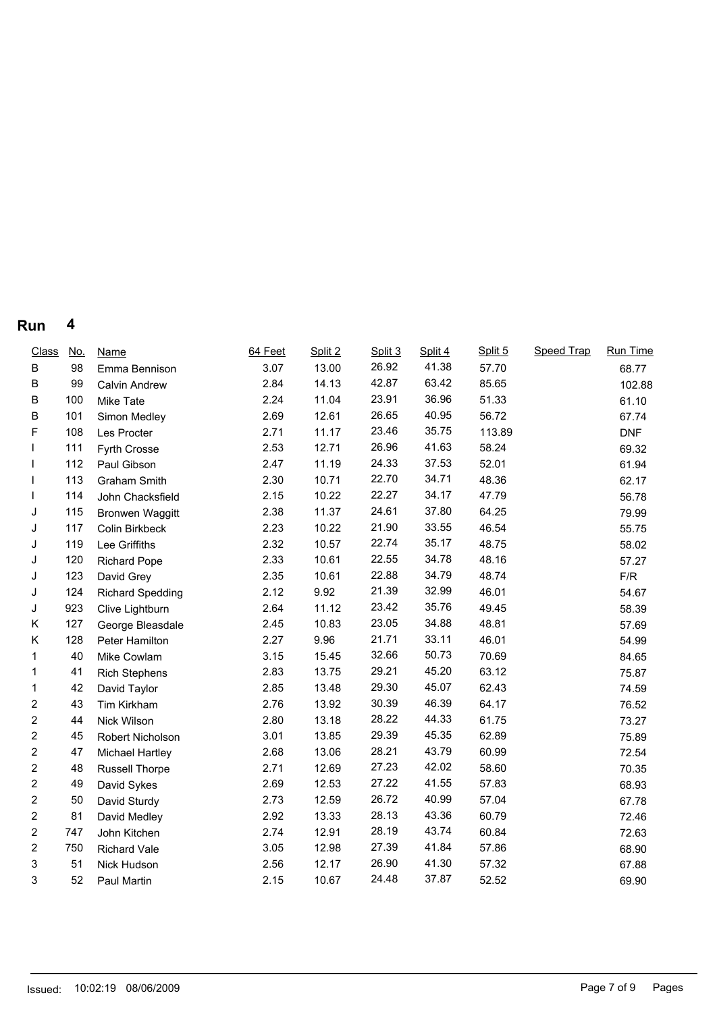| <b>Class</b>   | <u>No.</u> | <b>Name</b>             | 64 Feet | Split 2 | Split 3 | Split 4 | Split 5 | <b>Speed Trap</b> | Run Time   |
|----------------|------------|-------------------------|---------|---------|---------|---------|---------|-------------------|------------|
| B              | 98         | Emma Bennison           | 3.07    | 13.00   | 26.92   | 41.38   | 57.70   |                   | 68.77      |
| В              | 99         | Calvin Andrew           | 2.84    | 14.13   | 42.87   | 63.42   | 85.65   |                   | 102.88     |
| B              | 100        | Mike Tate               | 2.24    | 11.04   | 23.91   | 36.96   | 51.33   |                   | 61.10      |
| В              | 101        | Simon Medley            | 2.69    | 12.61   | 26.65   | 40.95   | 56.72   |                   | 67.74      |
| F              | 108        | Les Procter             | 2.71    | 11.17   | 23.46   | 35.75   | 113.89  |                   | <b>DNF</b> |
|                | 111        | Fyrth Crosse            | 2.53    | 12.71   | 26.96   | 41.63   | 58.24   |                   | 69.32      |
|                | 112        | Paul Gibson             | 2.47    | 11.19   | 24.33   | 37.53   | 52.01   |                   | 61.94      |
|                | 113        | Graham Smith            | 2.30    | 10.71   | 22.70   | 34.71   | 48.36   |                   | 62.17      |
|                | 114        | John Chacksfield        | 2.15    | 10.22   | 22.27   | 34.17   | 47.79   |                   | 56.78      |
| J              | 115        | <b>Bronwen Waggitt</b>  | 2.38    | 11.37   | 24.61   | 37.80   | 64.25   |                   | 79.99      |
| J              | 117        | Colin Birkbeck          | 2.23    | 10.22   | 21.90   | 33.55   | 46.54   |                   | 55.75      |
| J              | 119        | Lee Griffiths           | 2.32    | 10.57   | 22.74   | 35.17   | 48.75   |                   | 58.02      |
| J              | 120        | <b>Richard Pope</b>     | 2.33    | 10.61   | 22.55   | 34.78   | 48.16   |                   | 57.27      |
| J              | 123        | David Grey              | 2.35    | 10.61   | 22.88   | 34.79   | 48.74   |                   | F/R        |
| J              | 124        | <b>Richard Spedding</b> | 2.12    | 9.92    | 21.39   | 32.99   | 46.01   |                   | 54.67      |
| J              | 923        | Clive Lightburn         | 2.64    | 11.12   | 23.42   | 35.76   | 49.45   |                   | 58.39      |
| Κ              | 127        | George Bleasdale        | 2.45    | 10.83   | 23.05   | 34.88   | 48.81   |                   | 57.69      |
| Κ              | 128        | Peter Hamilton          | 2.27    | 9.96    | 21.71   | 33.11   | 46.01   |                   | 54.99      |
| 1              | 40         | Mike Cowlam             | 3.15    | 15.45   | 32.66   | 50.73   | 70.69   |                   | 84.65      |
| 1              | 41         | <b>Rich Stephens</b>    | 2.83    | 13.75   | 29.21   | 45.20   | 63.12   |                   | 75.87      |
| 1              | 42         | David Taylor            | 2.85    | 13.48   | 29.30   | 45.07   | 62.43   |                   | 74.59      |
| 2              | 43         | Tim Kirkham             | 2.76    | 13.92   | 30.39   | 46.39   | 64.17   |                   | 76.52      |
| 2              | 44         | Nick Wilson             | 2.80    | 13.18   | 28.22   | 44.33   | 61.75   |                   | 73.27      |
| 2              | 45         | Robert Nicholson        | 3.01    | 13.85   | 29.39   | 45.35   | 62.89   |                   | 75.89      |
| 2              | 47         | Michael Hartley         | 2.68    | 13.06   | 28.21   | 43.79   | 60.99   |                   | 72.54      |
| $\overline{c}$ | 48         | <b>Russell Thorpe</b>   | 2.71    | 12.69   | 27.23   | 42.02   | 58.60   |                   | 70.35      |
| 2              | 49         | David Sykes             | 2.69    | 12.53   | 27.22   | 41.55   | 57.83   |                   | 68.93      |
| 2              | 50         | David Sturdy            | 2.73    | 12.59   | 26.72   | 40.99   | 57.04   |                   | 67.78      |
| 2              | 81         | David Medley            | 2.92    | 13.33   | 28.13   | 43.36   | 60.79   |                   | 72.46      |
| 2              | 747        | John Kitchen            | 2.74    | 12.91   | 28.19   | 43.74   | 60.84   |                   | 72.63      |
| 2              | 750        | Richard Vale            | 3.05    | 12.98   | 27.39   | 41.84   | 57.86   |                   | 68.90      |
| 3              | 51         | Nick Hudson             | 2.56    | 12.17   | 26.90   | 41.30   | 57.32   |                   | 67.88      |
| 3              | 52         | Paul Martin             | 2.15    | 10.67   | 24.48   | 37.87   | 52.52   |                   | 69.90      |
|                |            |                         |         |         |         |         |         |                   |            |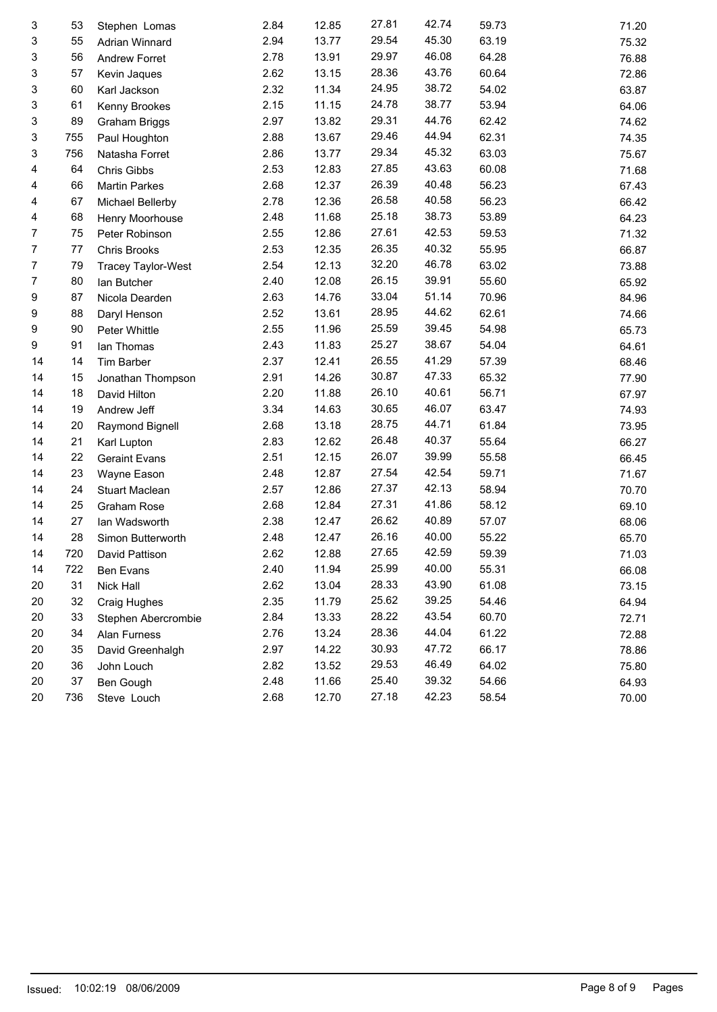| 3  | 53  | Stephen Lomas        | 2.84 | 12.85 | 27.81 | 42.74 | 59.73 | 71.20 |
|----|-----|----------------------|------|-------|-------|-------|-------|-------|
| 3  | 55  | Adrian Winnard       | 2.94 | 13.77 | 29.54 | 45.30 | 63.19 | 75.32 |
| 3  | 56  | Andrew Forret        | 2.78 | 13.91 | 29.97 | 46.08 | 64.28 | 76.88 |
| 3  | 57  | Kevin Jaques         | 2.62 | 13.15 | 28.36 | 43.76 | 60.64 | 72.86 |
| 3  | 60  | Karl Jackson         | 2.32 | 11.34 | 24.95 | 38.72 | 54.02 | 63.87 |
| 3  | 61  | Kenny Brookes        | 2.15 | 11.15 | 24.78 | 38.77 | 53.94 | 64.06 |
| 3  | 89  | Graham Briggs        | 2.97 | 13.82 | 29.31 | 44.76 | 62.42 | 74.62 |
| 3  | 755 | Paul Houghton        | 2.88 | 13.67 | 29.46 | 44.94 | 62.31 | 74.35 |
| 3  | 756 | Natasha Forret       | 2.86 | 13.77 | 29.34 | 45.32 | 63.03 | 75.67 |
| 4  | 64  | Chris Gibbs          | 2.53 | 12.83 | 27.85 | 43.63 | 60.08 | 71.68 |
| 4  | 66  | <b>Martin Parkes</b> | 2.68 | 12.37 | 26.39 | 40.48 | 56.23 | 67.43 |
| 4  | 67  | Michael Bellerby     | 2.78 | 12.36 | 26.58 | 40.58 | 56.23 | 66.42 |
| 4  | 68  | Henry Moorhouse      | 2.48 | 11.68 | 25.18 | 38.73 | 53.89 | 64.23 |
| 7  | 75  | Peter Robinson       | 2.55 | 12.86 | 27.61 | 42.53 | 59.53 | 71.32 |
| 7  | 77  | Chris Brooks         | 2.53 | 12.35 | 26.35 | 40.32 | 55.95 | 66.87 |
| 7  | 79  | Tracey Taylor-West   | 2.54 | 12.13 | 32.20 | 46.78 | 63.02 | 73.88 |
| 7  | 80  | lan Butcher          | 2.40 | 12.08 | 26.15 | 39.91 | 55.60 | 65.92 |
| 9  | 87  | Nicola Dearden       | 2.63 | 14.76 | 33.04 | 51.14 | 70.96 | 84.96 |
| 9  | 88  | Daryl Henson         | 2.52 | 13.61 | 28.95 | 44.62 | 62.61 | 74.66 |
| 9  | 90  | Peter Whittle        | 2.55 | 11.96 | 25.59 | 39.45 | 54.98 | 65.73 |
| 9  | 91  | lan Thomas           | 2.43 | 11.83 | 25.27 | 38.67 | 54.04 | 64.61 |
| 14 | 14  | <b>Tim Barber</b>    | 2.37 | 12.41 | 26.55 | 41.29 | 57.39 | 68.46 |
| 14 | 15  | Jonathan Thompson    | 2.91 | 14.26 | 30.87 | 47.33 | 65.32 | 77.90 |
| 14 | 18  | David Hilton         | 2.20 | 11.88 | 26.10 | 40.61 | 56.71 | 67.97 |
| 14 | 19  | Andrew Jeff          | 3.34 | 14.63 | 30.65 | 46.07 | 63.47 | 74.93 |
| 14 | 20  | Raymond Bignell      | 2.68 | 13.18 | 28.75 | 44.71 | 61.84 | 73.95 |
| 14 | 21  | Karl Lupton          | 2.83 | 12.62 | 26.48 | 40.37 | 55.64 | 66.27 |
| 14 | 22  | <b>Geraint Evans</b> | 2.51 | 12.15 | 26.07 | 39.99 | 55.58 | 66.45 |
| 14 | 23  | Wayne Eason          | 2.48 | 12.87 | 27.54 | 42.54 | 59.71 | 71.67 |
| 14 | 24  | Stuart Maclean       | 2.57 | 12.86 | 27.37 | 42.13 | 58.94 | 70.70 |
| 14 | 25  | Graham Rose          | 2.68 | 12.84 | 27.31 | 41.86 | 58.12 | 69.10 |
| 14 | 27  | Ian Wadsworth        | 2.38 | 12.47 | 26.62 | 40.89 | 57.07 | 68.06 |
| 14 | 28  | Simon Butterworth    | 2.48 | 12.47 | 26.16 | 40.00 | 55.22 | 65.70 |
| 14 | 720 | David Pattison       | 2.62 | 12.88 | 27.65 | 42.59 | 59.39 | 71.03 |
| 14 | 722 | Ben Evans            | 2.40 | 11.94 | 25.99 | 40.00 | 55.31 | 66.08 |
| 20 | 31  | Nick Hall            | 2.62 | 13.04 | 28.33 | 43.90 | 61.08 | 73.15 |
| 20 | 32  | Craig Hughes         | 2.35 | 11.79 | 25.62 | 39.25 | 54.46 | 64.94 |
| 20 | 33  | Stephen Abercrombie  | 2.84 | 13.33 | 28.22 | 43.54 | 60.70 | 72.71 |
| 20 | 34  | Alan Furness         | 2.76 | 13.24 | 28.36 | 44.04 | 61.22 | 72.88 |
| 20 | 35  | David Greenhalgh     | 2.97 | 14.22 | 30.93 | 47.72 | 66.17 | 78.86 |
| 20 | 36  | John Louch           | 2.82 | 13.52 | 29.53 | 46.49 | 64.02 | 75.80 |
| 20 | 37  | Ben Gough            | 2.48 | 11.66 | 25.40 | 39.32 | 54.66 | 64.93 |
| 20 | 736 | Steve Louch          | 2.68 | 12.70 | 27.18 | 42.23 | 58.54 | 70.00 |
|    |     |                      |      |       |       |       |       |       |